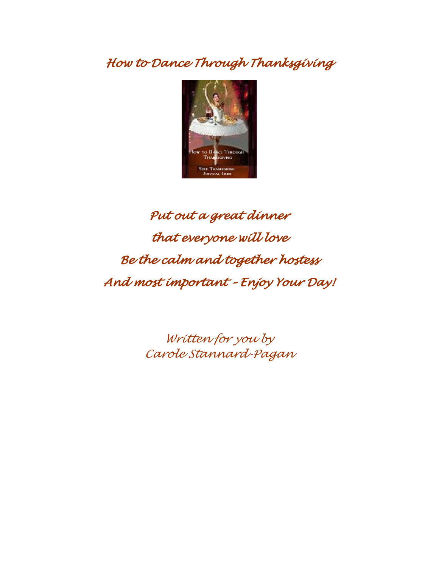*How to Dance Through Thanksgiving*



# *Put out a great dinner that everyone will love Be the calm and together hostess And most important – Enjoy Your Day!*

*Written for you by Carole Stannard-Pagan*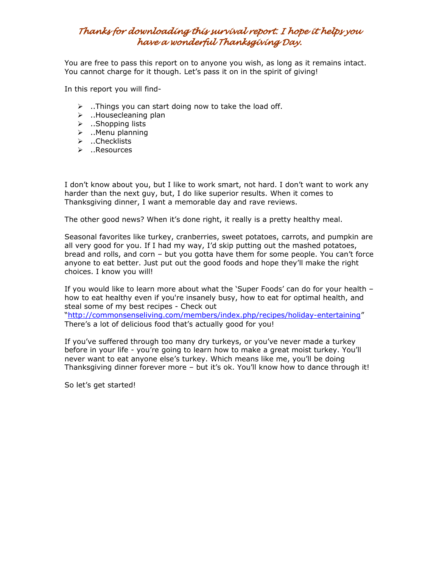### *Thanks for downloading this survival report. I hope it helps you have a wonderful Thanksgiving Day.*

You are free to pass this report on to anyone you wish, as long as it remains intact. You cannot charge for it though. Let's pass it on in the spirit of giving!

In this report you will find-

- $\triangleright$  ..Things you can start doing now to take the load off.
- $\blacktriangleright$  ..Housecleaning plan
- $\triangleright$  ..Shopping lists
- ..Menu planning
- > ..Checklists
- ..Resources

I don't know about you, but I like to work smart, not hard. I don't want to work any harder than the next guy, but, I do like superior results. When it comes to Thanksgiving dinner, I want a memorable day and rave reviews.

The other good news? When it's done right, it really is a pretty healthy meal.

Seasonal favorites like turkey, cranberries, sweet potatoes, carrots, and pumpkin are all very good for you. If I had my way, I'd skip putting out the mashed potatoes, bread and rolls, and corn – but you gotta have them for some people. You can't force anyone to eat better. Just put out the good foods and hope they'll make the right choices. I know you will!

If you would like to learn more about what the 'Super Foods' can do for your health – how to eat healthy even if you're insanely busy, how to eat for optimal health, and steal some of my best recipes - Check out

"http://commonsenseliving.com/members/index.php/recipes/holiday-entertaining" There's a lot of delicious food that's actually good for you!

If you've suffered through too many dry turkeys, or you've never made a turkey before in your life - you're going to learn how to make a great moist turkey. You'll never want to eat anyone else's turkey. Which means like me, you'll be doing Thanksgiving dinner forever more – but it's ok. You'll know how to dance through it!

So let's get started!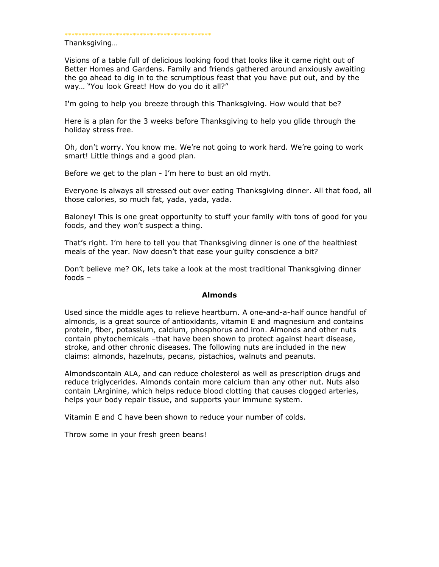\*\*\*\*\*\*\*\*\*\*\*\*\*\*\*\*\*\*\*\*\*\*\*\*\*\*\*\*\*\*\*\*\*\*\*\*\*\*\*\*\*\*\*

Thanksgiving…

Visions of a table full of delicious looking food that looks like it came right out of Better Homes and Gardens. Family and friends gathered around anxiously awaiting the go ahead to dig in to the scrumptious feast that you have put out, and by the way... "You look Great! How do you do it all?"

I'm going to help you breeze through this Thanksgiving. How would that be?

Here is a plan for the 3 weeks before Thanksgiving to help you glide through the holiday stress free.

Oh, don't worry. You know me. We're not going to work hard. We're going to work smart! Little things and a good plan.

Before we get to the plan - I'm here to bust an old myth.

Everyone is always all stressed out over eating Thanksgiving dinner. All that food, all those calories, so much fat, yada, yada, yada.

Baloney! This is one great opportunity to stuff your family with tons of good for you foods, and they won't suspect a thing.

That's right. I'm here to tell you that Thanksgiving dinner is one of the healthiest meals of the year. Now doesn't that ease your guilty conscience a bit?

Don't believe me? OK, lets take a look at the most traditional Thanksgiving dinner foods –

#### **Almonds**

Used since the middle ages to relieve heartburn. A one-and-a-half ounce handful of almonds, is a great source of antioxidants, vitamin E and magnesium and contains protein, fiber, potassium, calcium, phosphorus and iron. Almonds and other nuts contain phytochemicals –that have been shown to protect against heart disease, stroke, and other chronic diseases. The following nuts are included in the new claims: almonds, hazelnuts, pecans, pistachios, walnuts and peanuts.

Almondscontain ALA, and can reduce cholesterol as well as prescription drugs and reduce triglycerides. Almonds contain more calcium than any other nut. Nuts also contain LArginine, which helps reduce blood clotting that causes clogged arteries, helps your body repair tissue, and supports your immune system.

Vitamin E and C have been shown to reduce your number of colds.

Throw some in your fresh green beans!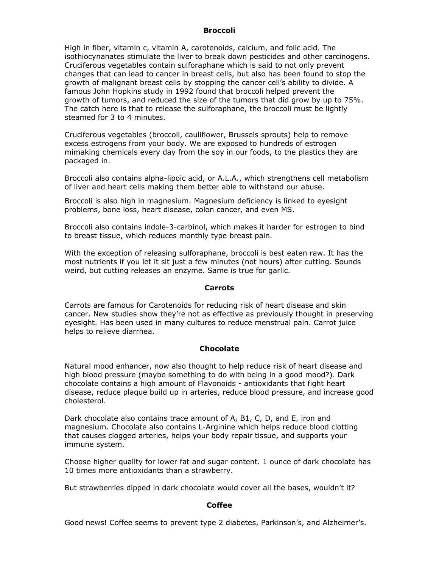#### **Broccoli**

High in fiber, vitamin c, vitamin A, carotenoids, calcium, and folic acid. The isothiocynanates stimulate the liver to break down pesticides and other carcinogens. Cruciferous vegetables contain sulforaphane which is said to not only prevent changes that can lead to cancer in breast cells, but also has been found to stop the growth of malignant breast cells by stopping the cancer cell's ability to divide. A famous John Hopkins study in 1992 found that broccoli helped prevent the growth of tumors, and reduced the size of the tumors that did grow by up to 75%. The catch here is that to release the sulforaphane, the broccoli must be lightly steamed for 3 to 4 minutes.

Cruciferous vegetables (broccoli, cauliflower, Brussels sprouts) help to remove excess estrogens from your body. We are exposed to hundreds of estrogen mimaking chemicals every day from the soy in our foods, to the plastics they are packaged in.

Broccoli also contains alpha-lipoic acid, or A.L.A., which strengthens cell metabolism of liver and heart cells making them better able to withstand our abuse.

Broccoli is also high in magnesium. Magnesium deficiency is linked to eyesight problems, bone loss, heart disease, colon cancer, and even MS.

Broccoli also contains indole-3-carbinol, which makes it harder for estrogen to bind to breast tissue, which reduces monthly type breast pain.

With the exception of releasing sulforaphane, broccoli is best eaten raw. It has the most nutrients if you let it sit just a few minutes (not hours) after cutting. Sounds weird, but cutting releases an enzyme. Same is true for garlic.

#### **Carrots**

Carrots are famous for Carotenoids for reducing risk of heart disease and skin cancer. New studies show they're not as effective as previously thought in preserving eyesight. Has been used in many cultures to reduce menstrual pain. Carrot juice helps to relieve diarrhea.

#### **Chocolate**

Natural mood enhancer, now also thought to help reduce risk of heart disease and high blood pressure (maybe something to do with being in a good mood?). Dark chocolate contains a high amount of Flavonoids - antioxidants that fight heart disease, reduce plaque build up in arteries, reduce blood pressure, and increase good cholesterol.

Dark chocolate also contains trace amount of A, B1, C, D, and E, iron and magnesium. Chocolate also contains L-Arginine which helps reduce blood clotting that causes clogged arteries, helps your body repair tissue, and supports your immune system.

Choose higher quality for lower fat and sugar content. 1 ounce of dark chocolate has 10 times more antioxidants than a strawberry.

But strawberries dipped in dark chocolate would cover all the bases, wouldn't it?

#### **Coffee**

Good news! Coffee seems to prevent type 2 diabetes, Parkinson's, and Alzheimer's.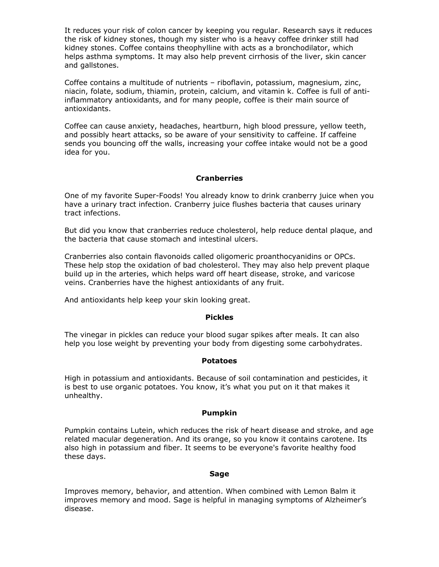It reduces your risk of colon cancer by keeping you regular. Research says it reduces the risk of kidney stones, though my sister who is a heavy coffee drinker still had kidney stones. Coffee contains theophylline with acts as a bronchodilator, which helps asthma symptoms. It may also help prevent cirrhosis of the liver, skin cancer and gallstones.

Coffee contains a multitude of nutrients – riboflavin, potassium, magnesium, zinc, niacin, folate, sodium, thiamin, protein, calcium, and vitamin k. Coffee is full of antiinflammatory antioxidants, and for many people, coffee is their main source of antioxidants.

Coffee can cause anxiety, headaches, heartburn, high blood pressure, yellow teeth, and possibly heart attacks, so be aware of your sensitivity to caffeine. If caffeine sends you bouncing off the walls, increasing your coffee intake would not be a good idea for you.

#### **Cranberries**

One of my favorite Super-Foods! You already know to drink cranberry juice when you have a urinary tract infection. Cranberry juice flushes bacteria that causes urinary tract infections.

But did you know that cranberries reduce cholesterol, help reduce dental plaque, and the bacteria that cause stomach and intestinal ulcers.

Cranberries also contain flavonoids called oligomeric proanthocyanidins or OPCs. These help stop the oxidation of bad cholesterol. They may also help prevent plaque build up in the arteries, which helps ward off heart disease, stroke, and varicose veins. Cranberries have the highest antioxidants of any fruit.

And antioxidants help keep your skin looking great.

#### **Pickles**

The vinegar in pickles can reduce your blood sugar spikes after meals. It can also help you lose weight by preventing your body from digesting some carbohydrates.

#### **Potatoes**

High in potassium and antioxidants. Because of soil contamination and pesticides, it is best to use organic potatoes. You know, it's what you put on it that makes it unhealthy.

#### **Pumpkin**

Pumpkin contains Lutein, which reduces the risk of heart disease and stroke, and age related macular degeneration. And its orange, so you know it contains carotene. Its also high in potassium and fiber. It seems to be everyone's favorite healthy food these days.

#### **Sage**

Improves memory, behavior, and attention. When combined with Lemon Balm it improves memory and mood. Sage is helpful in managing symptoms of Alzheimer's disease.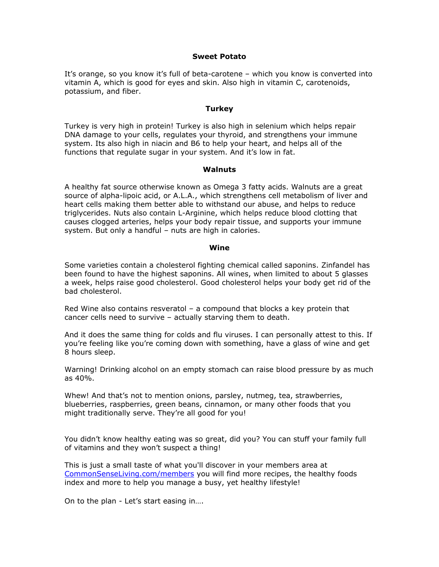#### **Sweet Potato**

It's orange, so you know it's full of beta-carotene – which you know is converted into vitamin A, which is good for eyes and skin. Also high in vitamin C, carotenoids, potassium, and fiber.

#### **Turkey**

Turkey is very high in protein! Turkey is also high in selenium which helps repair DNA damage to your cells, regulates your thyroid, and strengthens your immune system. Its also high in niacin and B6 to help your heart, and helps all of the functions that regulate sugar in your system. And it's low in fat.

#### **Walnuts**

A healthy fat source otherwise known as Omega 3 fatty acids. Walnuts are a great source of alpha-lipoic acid, or A.L.A., which strengthens cell metabolism of liver and heart cells making them better able to withstand our abuse, and helps to reduce triglycerides. Nuts also contain L-Arginine, which helps reduce blood clotting that causes clogged arteries, helps your body repair tissue, and supports your immune system. But only a handful – nuts are high in calories.

#### **Wine**

Some varieties contain a cholesterol fighting chemical called saponins. Zinfandel has been found to have the highest saponins. All wines, when limited to about 5 glasses a week, helps raise good cholesterol. Good cholesterol helps your body get rid of the bad cholesterol.

Red Wine also contains resveratol – a compound that blocks a key protein that cancer cells need to survive – actually starving them to death.

And it does the same thing for colds and flu viruses. I can personally attest to this. If you're feeling like you're coming down with something, have a glass of wine and get 8 hours sleep.

Warning! Drinking alcohol on an empty stomach can raise blood pressure by as much as 40%.

Whew! And that's not to mention onions, parsley, nutmeg, tea, strawberries, blueberries, raspberries, green beans, cinnamon, or many other foods that you might traditionally serve. They're all good for you!

You didn't know healthy eating was so great, did you? You can stuff your family full of vitamins and they won't suspect a thing!

This is just a small taste of what you'll discover in your members area at [CommonSenseLiving.com/members](http://CommonSenseLiving.com/members) you will find more recipes, the healthy foods index and more to help you manage a busy, yet healthy lifestyle!

On to the plan - Let's start easing in….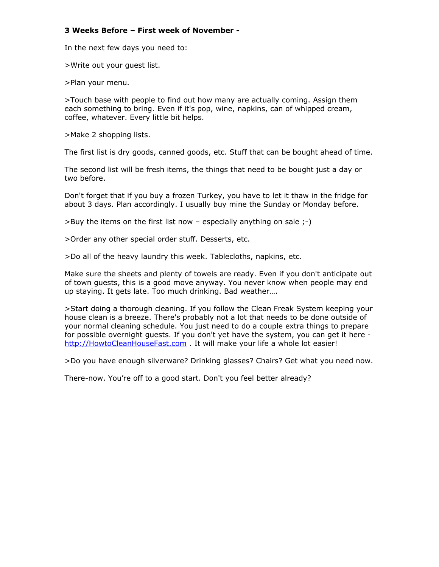#### **3 Weeks Before – First week of November -**

In the next few days you need to:

>Write out your guest list.

>Plan your menu.

>Touch base with people to find out how many are actually coming. Assign them each something to bring. Even if it's pop, wine, napkins, can of whipped cream, coffee, whatever. Every little bit helps.

>Make 2 shopping lists.

The first list is dry goods, canned goods, etc. Stuff that can be bought ahead of time.

The second list will be fresh items, the things that need to be bought just a day or two before.

Don't forget that if you buy a frozen Turkey, you have to let it thaw in the fridge for about 3 days. Plan accordingly. I usually buy mine the Sunday or Monday before.

>Buy the items on the first list now – especially anything on sale ;-)

>Order any other special order stuff. Desserts, etc.

>Do all of the heavy laundry this week. Tablecloths, napkins, etc.

Make sure the sheets and plenty of towels are ready. Even if you don't anticipate out of town guests, this is a good move anyway. You never know when people may end up staying. It gets late. Too much drinking. Bad weather….

>Start doing a thorough cleaning. If you follow the Clean Freak System keeping your house clean is a breeze. There's probably not a lot that needs to be done outside of your normal cleaning schedule. You just need to do a couple extra things to prepare for possible overnight guests. If you don't yet have the system, you can get it here [http://HowtoCleanHouseFast.com](http://HowtoCleanHouseFast.com/) . It will make your life a whole lot easier!

>Do you have enough silverware? Drinking glasses? Chairs? Get what you need now.

There-now. You're off to a good start. Don't you feel better already?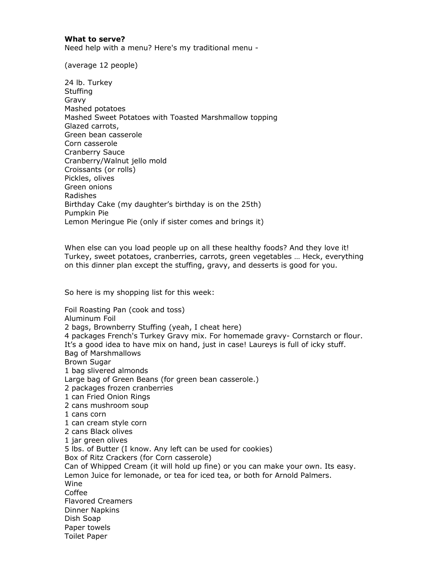#### **What to serve?**

Need help with a menu? Here's my traditional menu -

(average 12 people)

24 lb. Turkey **Stuffing** Gravy Mashed potatoes Mashed Sweet Potatoes with Toasted Marshmallow topping Glazed carrots, Green bean casserole Corn casserole Cranberry Sauce Cranberry/Walnut jello mold Croissants (or rolls) Pickles, olives Green onions Radishes Birthday Cake (my daughter's birthday is on the 25th) Pumpkin Pie Lemon Meringue Pie (only if sister comes and brings it)

When else can you load people up on all these healthy foods? And they love it! Turkey, sweet potatoes, cranberries, carrots, green vegetables … Heck, everything on this dinner plan except the stuffing, gravy, and desserts is good for you.

So here is my shopping list for this week:

Foil Roasting Pan (cook and toss) Aluminum Foil 2 bags, Brownberry Stuffing (yeah, I cheat here) 4 packages French's Turkey Gravy mix. For homemade gravy- Cornstarch or flour. It's a good idea to have mix on hand, just in case! Laureys is full of icky stuff. Bag of Marshmallows Brown Sugar 1 bag slivered almonds Large bag of Green Beans (for green bean casserole.) 2 packages frozen cranberries 1 can Fried Onion Rings 2 cans mushroom soup 1 cans corn 1 can cream style corn 2 cans Black olives 1 jar green olives 5 lbs. of Butter (I know. Any left can be used for cookies) Box of Ritz Crackers (for Corn casserole) Can of Whipped Cream (it will hold up fine) or you can make your own. Its easy. Lemon Juice for lemonade, or tea for iced tea, or both for Arnold Palmers. Wine Coffee Flavored Creamers Dinner Napkins Dish Soap Paper towels Toilet Paper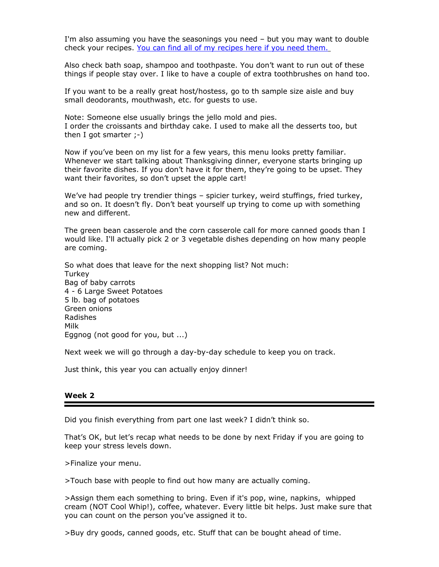I'm also assuming you have the seasonings you need – but you may want to double check your recipes. [You can find all of my recipes here if you need them.](http://commonsenseliving.com/members/index.php/recipes/holiday-entertaining)

Also check bath soap, shampoo and toothpaste. You don't want to run out of these things if people stay over. I like to have a couple of extra toothbrushes on hand too.

If you want to be a really great host/hostess, go to th sample size aisle and buy small deodorants, mouthwash, etc. for guests to use.

Note: Someone else usually brings the jello mold and pies. I order the croissants and birthday cake. I used to make all the desserts too, but then I got smarter  $;-)$ 

Now if you've been on my list for a few years, this menu looks pretty familiar. Whenever we start talking about Thanksgiving dinner, everyone starts bringing up their favorite dishes. If you don't have it for them, they're going to be upset. They want their favorites, so don't upset the apple cart!

We've had people try trendier things – spicier turkey, weird stuffings, fried turkey, and so on. It doesn't fly. Don't beat yourself up trying to come up with something new and different.

The green bean casserole and the corn casserole call for more canned goods than I would like. I'll actually pick 2 or 3 vegetable dishes depending on how many people are coming.

So what does that leave for the next shopping list? Not much: **Turkey** Bag of baby carrots 4 - 6 Large Sweet Potatoes 5 lb. bag of potatoes Green onions Radishes Milk Eggnog (not good for you, but ...)

Next week we will go through a day-by-day schedule to keep you on track.

Just think, this year you can actually enjoy dinner!

#### **Week 2**

Did you finish everything from part one last week? I didn't think so.

That's OK, but let's recap what needs to be done by next Friday if you are going to keep your stress levels down.

>Finalize your menu.

>Touch base with people to find out how many are actually coming.

>Assign them each something to bring. Even if it's pop, wine, napkins, whipped cream (NOT Cool Whip!), coffee, whatever. Every little bit helps. Just make sure that you can count on the person you've assigned it to.

>Buy dry goods, canned goods, etc. Stuff that can be bought ahead of time.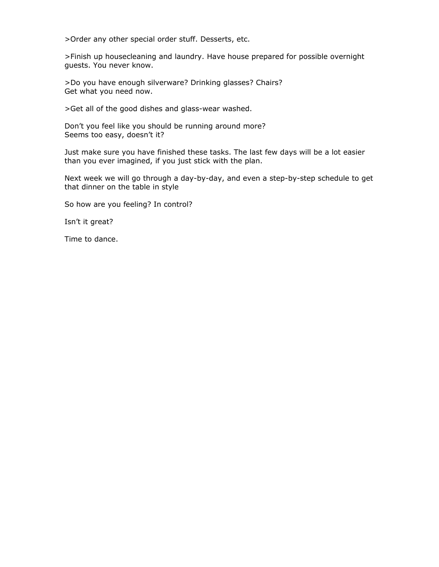>Order any other special order stuff. Desserts, etc.

>Finish up housecleaning and laundry. Have house prepared for possible overnight guests. You never know.

>Do you have enough silverware? Drinking glasses? Chairs? Get what you need now.

>Get all of the good dishes and glass-wear washed.

Don't you feel like you should be running around more? Seems too easy, doesn't it?

Just make sure you have finished these tasks. The last few days will be a lot easier than you ever imagined, if you just stick with the plan.

Next week we will go through a day-by-day, and even a step-by-step schedule to get that dinner on the table in style

So how are you feeling? In control?

Isn't it great?

Time to dance.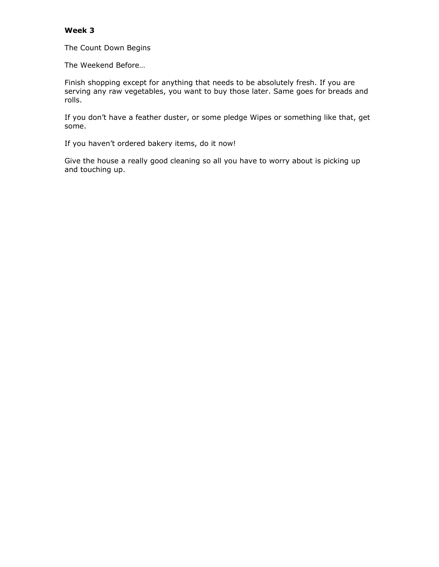#### **Week 3**

The Count Down Begins

The Weekend Before…

Finish shopping except for anything that needs to be absolutely fresh. If you are serving any raw vegetables, you want to buy those later. Same goes for breads and rolls.

If you don't have a feather duster, or some pledge Wipes or something like that, get some.

If you haven't ordered bakery items, do it now!

Give the house a really good cleaning so all you have to worry about is picking up and touching up.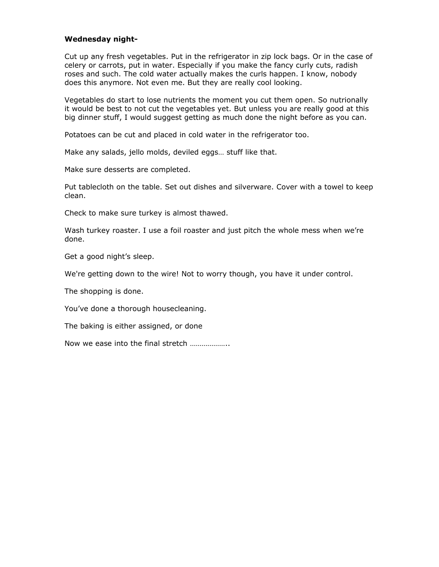#### **Wednesday night-**

Cut up any fresh vegetables. Put in the refrigerator in zip lock bags. Or in the case of celery or carrots, put in water. Especially if you make the fancy curly cuts, radish roses and such. The cold water actually makes the curls happen. I know, nobody does this anymore. Not even me. But they are really cool looking.

Vegetables do start to lose nutrients the moment you cut them open. So nutrionally it would be best to not cut the vegetables yet. But unless you are really good at this big dinner stuff, I would suggest getting as much done the night before as you can.

Potatoes can be cut and placed in cold water in the refrigerator too.

Make any salads, jello molds, deviled eggs… stuff like that.

Make sure desserts are completed.

Put tablecloth on the table. Set out dishes and silverware. Cover with a towel to keep clean.

Check to make sure turkey is almost thawed.

Wash turkey roaster. I use a foil roaster and just pitch the whole mess when we're done.

Get a good night's sleep.

We're getting down to the wire! Not to worry though, you have it under control.

The shopping is done.

You've done a thorough housecleaning.

The baking is either assigned, or done

Now we ease into the final stretch ………………..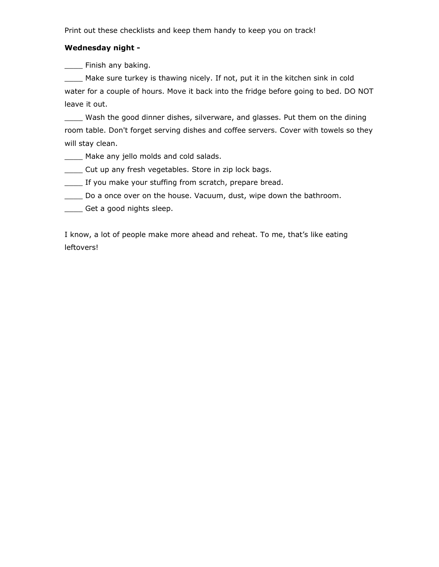Print out these checklists and keep them handy to keep you on track!

#### **Wednesday night -**

**EXECUTE:** Finish any baking.

\_\_\_\_ Make sure turkey is thawing nicely. If not, put it in the kitchen sink in cold water for a couple of hours. Move it back into the fridge before going to bed. DO NOT leave it out.

\_\_\_\_ Wash the good dinner dishes, silverware, and glasses. Put them on the dining room table. Don't forget serving dishes and coffee servers. Cover with towels so they will stay clean.

- \_\_\_\_ Make any jello molds and cold salads.
- \_\_\_\_ Cut up any fresh vegetables. Store in zip lock bags.
- \_\_\_\_ If you make your stuffing from scratch, prepare bread.
- \_\_\_\_ Do a once over on the house. Vacuum, dust, wipe down the bathroom.
- \_\_\_\_ Get a good nights sleep.

I know, a lot of people make more ahead and reheat. To me, that's like eating leftovers!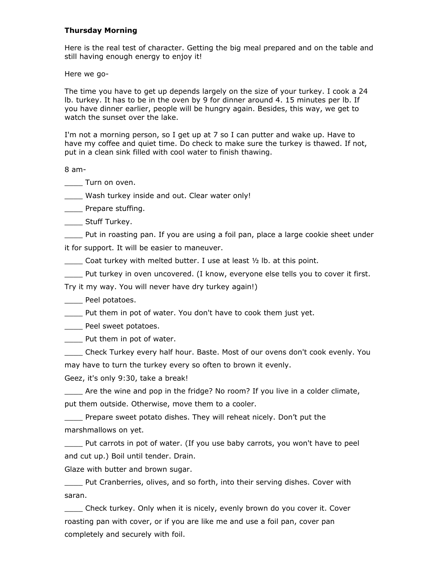#### **Thursday Morning**

Here is the real test of character. Getting the big meal prepared and on the table and still having enough energy to enjoy it!

Here we go-

The time you have to get up depends largely on the size of your turkey. I cook a 24 lb. turkey. It has to be in the oven by 9 for dinner around 4. 15 minutes per lb. If you have dinner earlier, people will be hungry again. Besides, this way, we get to watch the sunset over the lake.

I'm not a morning person, so I get up at 7 so I can putter and wake up. Have to have my coffee and quiet time. Do check to make sure the turkey is thawed. If not, put in a clean sink filled with cool water to finish thawing.

8 am-

\_\_\_\_ Turn on oven.

Wash turkey inside and out. Clear water only!

**Example 21 Prepare stuffing.** 

\_\_\_\_ Stuff Turkey.

Put in roasting pan. If you are using a foil pan, place a large cookie sheet under

it for support. It will be easier to maneuver.

\_\_\_\_ Coat turkey with melted butter. I use at least ½ lb. at this point.

\_\_\_\_ Put turkey in oven uncovered. (I know, everyone else tells you to cover it first.

Try it my way. You will never have dry turkey again!)

Peel potatoes.

\_\_\_\_ Put them in pot of water. You don't have to cook them just yet.

Peel sweet potatoes.

Put them in pot of water.

\_\_\_\_ Check Turkey every half hour. Baste. Most of our ovens don't cook evenly. You

may have to turn the turkey every so often to brown it evenly.

Geez, it's only 9:30, take a break!

Are the wine and pop in the fridge? No room? If you live in a colder climate, put them outside. Otherwise, move them to a cooler.

\_\_\_\_ Prepare sweet potato dishes. They will reheat nicely. Don't put the marshmallows on yet.

\_\_\_\_ Put carrots in pot of water. (If you use baby carrots, you won't have to peel and cut up.) Boil until tender. Drain.

Glaze with butter and brown sugar.

\_\_\_\_ Put Cranberries, olives, and so forth, into their serving dishes. Cover with saran.

\_\_\_\_ Check turkey. Only when it is nicely, evenly brown do you cover it. Cover roasting pan with cover, or if you are like me and use a foil pan, cover pan completely and securely with foil.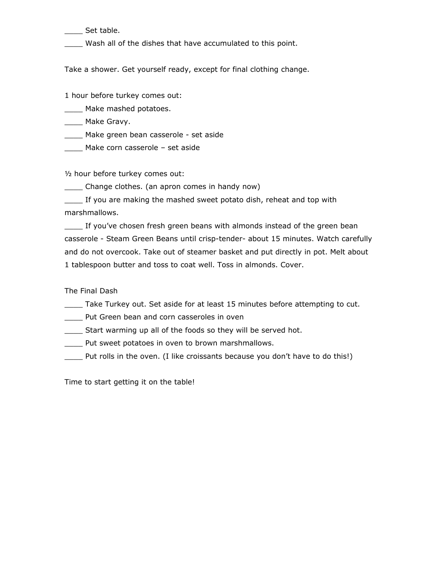Set table.

\_\_\_\_ Wash all of the dishes that have accumulated to this point.

Take a shower. Get yourself ready, except for final clothing change.

1 hour before turkey comes out:

\_\_\_\_ Make mashed potatoes.

\_\_\_\_ Make Gravy.

\_\_\_\_ Make green bean casserole - set aside

\_\_\_\_\_ Make corn casserole - set aside

½ hour before turkey comes out:

\_\_\_\_ Change clothes. (an apron comes in handy now)

\_\_\_\_ If you are making the mashed sweet potato dish, reheat and top with marshmallows.

\_\_\_\_ If you've chosen fresh green beans with almonds instead of the green bean casserole - Steam Green Beans until crisp-tender- about 15 minutes. Watch carefully and do not overcook. Take out of steamer basket and put directly in pot. Melt about 1 tablespoon butter and toss to coat well. Toss in almonds. Cover.

The Final Dash

Take Turkey out. Set aside for at least 15 minutes before attempting to cut.

Put Green bean and corn casseroles in oven

\_\_\_\_ Start warming up all of the foods so they will be served hot.

\_\_\_\_ Put sweet potatoes in oven to brown marshmallows.

\_\_\_\_ Put rolls in the oven. (I like croissants because you don't have to do this!)

Time to start getting it on the table!